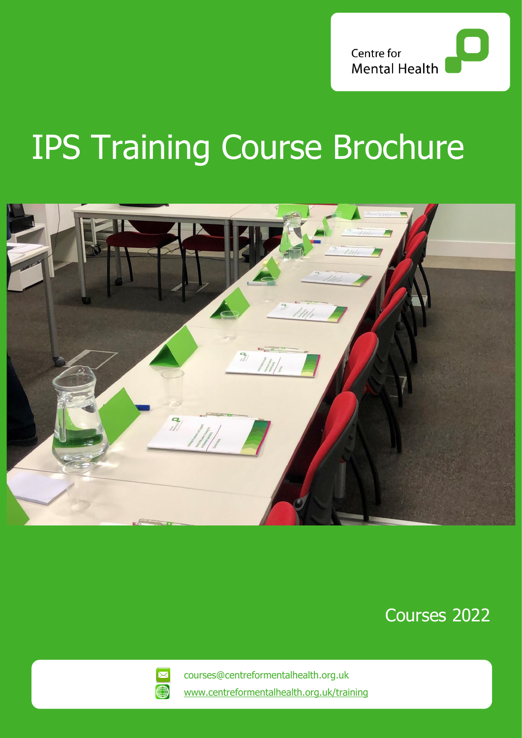

# IPS Training Course Brochure



Courses 2022



courses@centreformentalhealth.org.uk [www.centreformentalhealth.org.uk/training](http://www.centreformentalhealth.org.uk/training)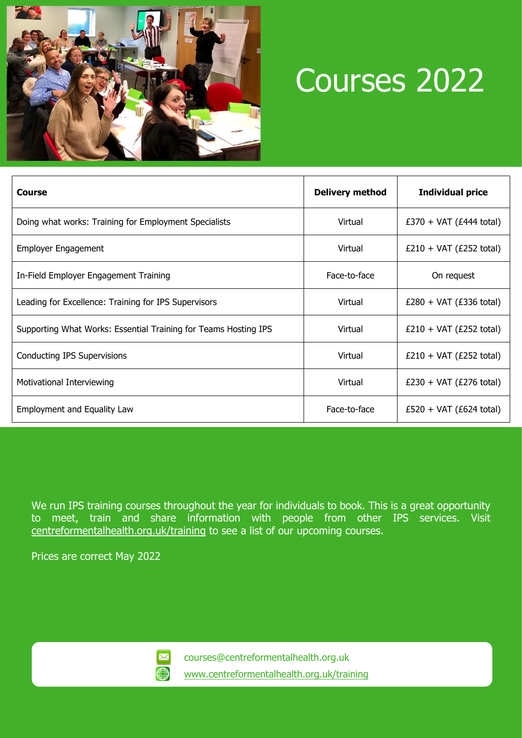

## Courses 2022

| Course                                                          | <b>Delivery method</b> | <b>Individual price</b>   |
|-----------------------------------------------------------------|------------------------|---------------------------|
| Doing what works: Training for Employment Specialists           | Virtual                | $£370 + VAT (£444 total)$ |
| <b>Employer Engagement</b>                                      | Virtual                | $£210 + VAT (£252 total)$ |
| In-Field Employer Engagement Training                           | Face-to-face           | On request                |
| Leading for Excellence: Training for IPS Supervisors            | Virtual                | $£280 + VAT (£336 total)$ |
| Supporting What Works: Essential Training for Teams Hosting IPS | Virtual                | $£210 + VAT (£252 total)$ |
| Conducting IPS Supervisions                                     | Virtual                | $£210 + VAT (£252 total)$ |
| Motivational Interviewing                                       | Virtual                | $£230 + VAT (£276 total)$ |
| Employment and Equality Law                                     | Face-to-face           | $£520 + VAT (£624 total)$ |

We run IPS training courses throughout the year for individuals to book. This is a great opportunity to meet, train and share information with people from other IPS services. Visit [centreformentalhealth.org.uk/training](https://www.centreformentalhealth.org.uk/training) to see a list of our upcoming courses.

Prices are correct May 2022



courses@centreformentalhealth.org.uk [www.centreformentalhealth.org.uk/training](http://www.centreformentalhealth.org.uk/training)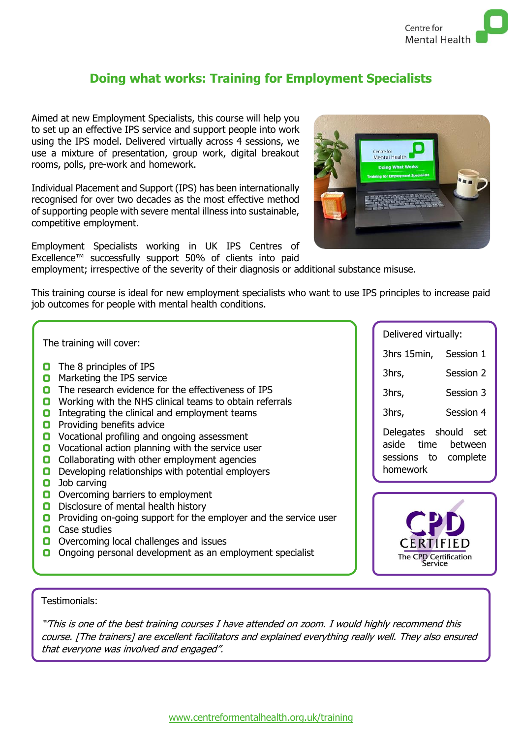

### **Doing what works: Training for Employment Specialists**

Aimed at new Employment Specialists, this course will help you to set up an effective IPS service and support people into work using the IPS model. Delivered virtually across 4 sessions, we use a mixture of presentation, group work, digital breakout rooms, polls, pre-work and homework.

Individual Placement and Support (IPS) has been internationally recognised for over two decades as the most effective method of supporting people with severe mental illness into sustainable, competitive employment.

Employment Specialists working in UK IPS Centres of Excellence™ successfully support 50% of clients into paid



employment; irrespective of the severity of their diagnosis or additional substance misuse.

This training course is ideal for new employment specialists who want to use IPS principles to increase paid job outcomes for people with mental health conditions.

The training will cover:

- **O** The 8 principles of IPS
- **O** Marketing the IPS service
- **O** The research evidence for the effectiveness of IPS
- **O** Working with the NHS clinical teams to obtain referrals
- **O** Integrating the clinical and employment teams
- **O** Providing benefits advice
- **O** Vocational profiling and ongoing assessment
- **O** Vocational action planning with the service user
- **O** Collaborating with other employment agencies
- **D** Developing relationships with potential employers
- **O** Job carving
- **O** Overcoming barriers to employment
- **D** Disclosure of mental health history
- **P** Providing on-going support for the employer and the service user
- **O** Case studies
- **O** Overcoming local challenges and issues
- O Ongoing personal development as an employment specialist

Delivered virtually:

3hrs 15min, Session 1

3hrs, Session 2

3hrs, Session 3

3hrs, Session 4

Delegates should set aside time between sessions to complete homework



Testimonials:

"'This is one of the best training courses I have attended on zoom. I would highly recommend this course. [The trainers] are excellent facilitators and explained everything really well. They also ensured that everyone was involved and engaged".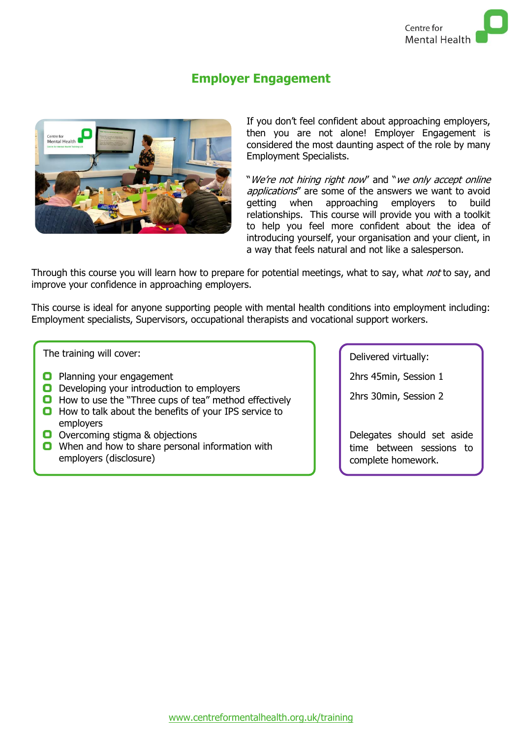### **Employer Engagement**



If you don't feel confident about approaching employers, then you are not alone! Employer Engagement is considered the most daunting aspect of the role by many Employment Specialists.

"We're not hiring right now" and "we only accept online applications" are some of the answers we want to avoid getting when approaching employers to build relationships. This course will provide you with a toolkit to help you feel more confident about the idea of introducing yourself, your organisation and your client, in a way that feels natural and not like a salesperson.

Through this course you will learn how to prepare for potential meetings, what to say, what not to say, and improve your confidence in approaching employers.

This course is ideal for anyone supporting people with mental health conditions into employment including: Employment specialists, Supervisors, occupational therapists and vocational support workers.

The training will cover:

- **Planning your engagement**
- **D** Developing your introduction to employers
- **O** How to use the "Three cups of tea" method effectively
- $\Box$  How to talk about the benefits of your IPS service to employers
- **O** Overcoming stigma & objections
- **O** When and how to share personal information with employers (disclosure)

Delivered virtually:

2hrs 45min, Session 1

2hrs 30min, Session 2

Delegates should set aside time between sessions to complete homework.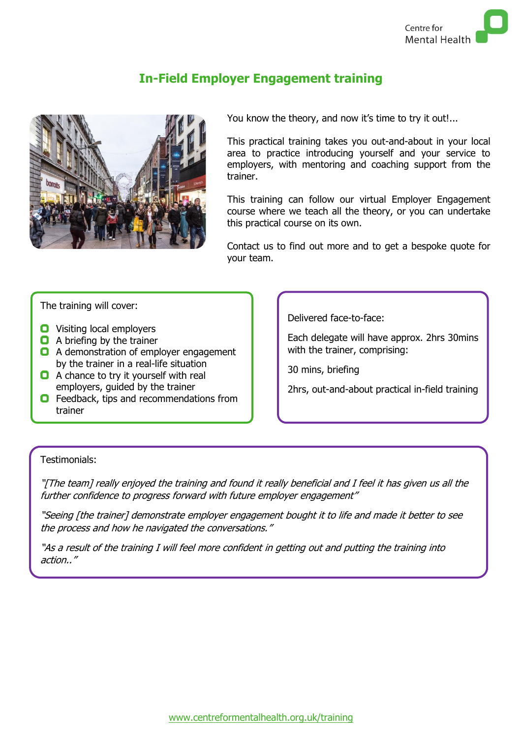

## **In-Field Employer Engagement training**



You know the theory, and now it's time to try it out!...

This practical training takes you out-and-about in your local area to practice introducing yourself and your service to employers, with mentoring and coaching support from the trainer.

This training can follow our virtual Employer Engagement course where we teach all the theory, or you can undertake this practical course on its own.

Contact us to find out more and to get a bespoke quote for your team.

The training will cover:

- **O** Visiting local employers
- **Q** A briefing by the trainer
- **Q** A demonstration of employer engagement by the trainer in a real-life situation
- **Q** A chance to try it yourself with real employers, guided by the trainer
- **O** Feedback, tips and recommendations from trainer

Delivered face-to-face:

Each delegate will have approx. 2hrs 30mins with the trainer, comprising:

30 mins, briefing

2hrs, out-and-about practical in-field training

#### Testimonials:

"[The team] really enjoyed the training and found it really beneficial and I feel it has given us all the further confidence to progress forward with future employer engagement"

"Seeing [the trainer] demonstrate employer engagement bought it to life and made it better to see the process and how he navigated the conversations."

"As a result of the training I will feel more confident in getting out and putting the training into action.."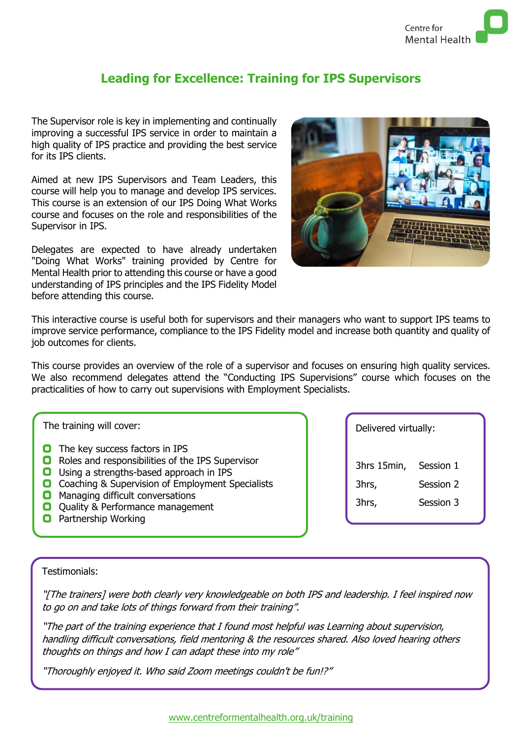## **Leading for Excellence: Training for IPS Supervisors**

The Supervisor role is key in implementing and continually improving a successful IPS service in order to maintain a high quality of IPS practice and providing the best service for its IPS clients.

Aimed at new IPS Supervisors and Team Leaders, this course will help you to manage and develop IPS services. This course is an extension of our IPS Doing What Works course and focuses on the role and responsibilities of the Supervisor in IPS.

Delegates are expected to have already undertaken "Doing What Works" training provided by Centre for Mental Health prior to attending this course or have a good understanding of IPS principles and the IPS Fidelity Model before attending this course.



This interactive course is useful both for supervisors and their managers who want to support IPS teams to improve service performance, compliance to the IPS Fidelity model and increase both quantity and quality of job outcomes for clients.

This course provides an overview of the role of a supervisor and focuses on ensuring high quality services. We also recommend delegates attend the "Conducting IPS Supervisions" course which focuses on the practicalities of how to carry out supervisions with Employment Specialists.

The training will cover:

- **O** The key success factors in IPS
- **O** Roles and responsibilities of the IPS Supervisor
- **O** Using a strengths-based approach in IPS
- **O** Coaching & Supervision of Employment Specialists
- **O** Managing difficult conversations
- **Q** Quality & Performance management
- **O** Partnership Working

Delivered virtually:

3hrs 15min, Session 1 3hrs, Session 2 3hrs, Session 3

#### Testimonials:

"[The trainers] were both clearly very knowledgeable on both IPS and leadership. I feel inspired now to go on and take lots of things forward from their training".

"The part of the training experience that I found most helpful was Learning about supervision, handling difficult conversations, field mentoring & the resources shared. Also loved hearing others thoughts on things and how I can adapt these into my role"

"Thoroughly enjoyed it. Who said Zoom meetings couldn't be fun!?"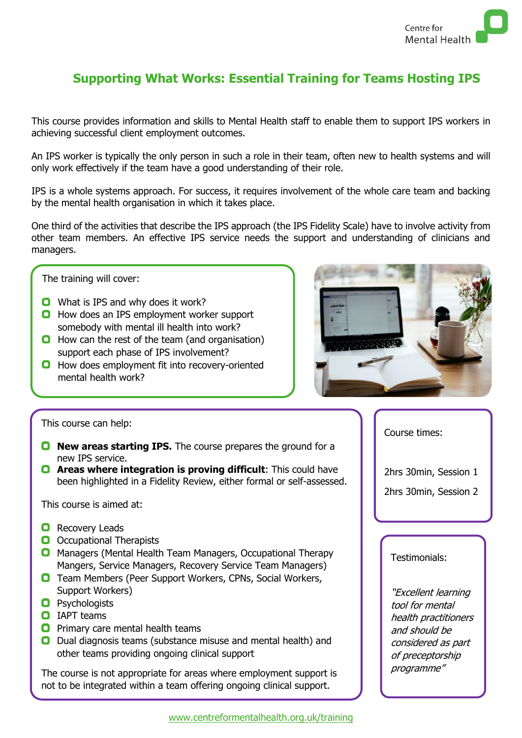

## **Supporting What Works: Essential Training for Teams Hosting IPS**

This course provides information and skills to Mental Health staff to enable them to support IPS workers in achieving successful client employment outcomes.

An IPS worker is typically the only person in such a role in their team, often new to health systems and will only work effectively if the team have a good understanding of their role.

IPS is a whole systems approach. For success, it requires involvement of the whole care team and backing by the mental health organisation in which it takes place.

One third of the activities that describe the IPS approach (the IPS Fidelity Scale) have to involve activity from other team members. An effective IPS service needs the support and understanding of clinicians and managers.

The training will cover:

- **O** What is IPS and why does it work?
- **O** How does an IPS employment worker support somebody with mental ill health into work?
- $\Box$  How can the rest of the team (and organisation) support each phase of IPS involvement?
- **O** How does employment fit into recovery-oriented mental health work?



This course can help:

- **D** New areas starting IPS. The course prepares the ground for a new IPS service.
- **Areas where integration is proving difficult:** This could have been highlighted in a Fidelity Review, either formal or self-assessed.

This course is aimed at:

- **Q** Recovery Leads
- **O** Occupational Therapists
- **O** Managers (Mental Health Team Managers, Occupational Therapy Mangers, Service Managers, Recovery Service Team Managers)
- **O** Team Members (Peer Support Workers, CPNs, Social Workers, Support Workers)
- **O** Psychologists
- **O** IAPT teams
- $\Box$  Primary care mental health teams
- **D** Dual diagnosis teams (substance misuse and mental health) and other teams providing ongoing clinical support

The course is not appropriate for areas where employment support is not to be integrated within a team offering ongoing clinical support.

Course times:

2hrs 30min, Session 1 2hrs 30min, Session 2

#### Testimonials:

"Excellent learning tool for mental health practitioners and should be considered as part of preceptorship programme"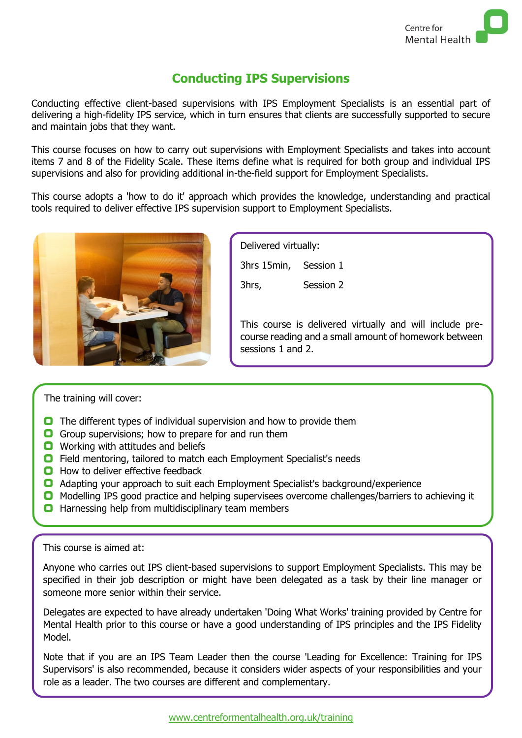

## **Conducting IPS Supervisions**

Conducting effective client-based supervisions with IPS Employment Specialists is an essential part of delivering a high-fidelity IPS service, which in turn ensures that clients are successfully supported to secure and maintain jobs that they want.

This course focuses on how to carry out supervisions with Employment Specialists and takes into account items 7 and 8 of the Fidelity Scale. These items define what is required for both group and individual IPS supervisions and also for providing additional in-the-field support for Employment Specialists.

This course adopts a 'how to do it' approach which provides the knowledge, understanding and practical tools required to deliver effective IPS supervision support to Employment Specialists.



| Delivered virtually:  |
|-----------------------|
| 3hrs 15min, Session 1 |
| Session 2             |
|                       |
|                       |

This course is delivered virtually and will include precourse reading and a small amount of homework between sessions 1 and 2.

#### The training will cover:

- **O** The different types of individual supervision and how to provide them
- Group supervisions; how to prepare for and run them
- **O** Working with attitudes and beliefs
- **O** Field mentoring, tailored to match each Employment Specialist's needs
- **O** How to deliver effective feedback
- **O** Adapting your approach to suit each Employment Specialist's background/experience
- **O** Modelling IPS good practice and helping supervisees overcome challenges/barriers to achieving it
- **O** Harnessing help from multidisciplinary team members

#### This course is aimed at:

Anyone who carries out IPS client-based supervisions to support Employment Specialists. This may be specified in their job description or might have been delegated as a task by their line manager or someone more senior within their service.

Delegates are expected to have already undertaken 'Doing What Works' training provided by Centre for Mental Health prior to this course or have a good understanding of IPS principles and the IPS Fidelity Model.

Note that if you are an IPS Team Leader then the course 'Leading for Excellence: Training for IPS Supervisors' is also recommended, because it considers wider aspects of your responsibilities and your role as a leader. The two courses are different and complementary.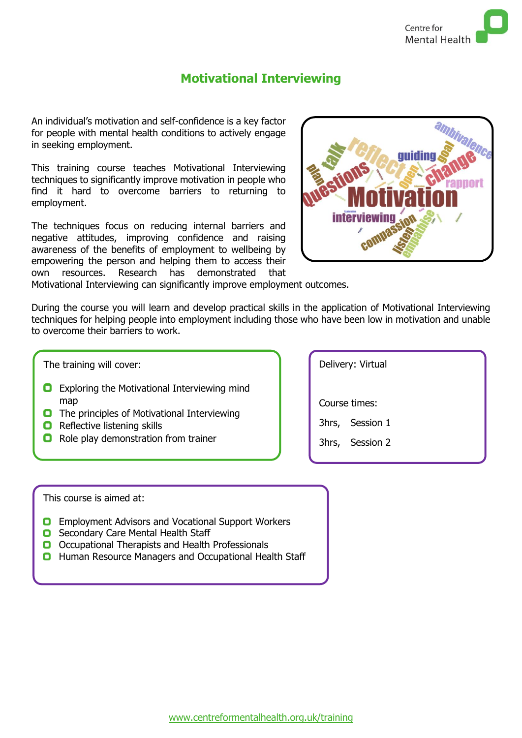

#### **Motivational Interviewing**

An individual's motivation and self-confidence is a key factor for people with mental health conditions to actively engage in seeking employment.

This training course teaches Motivational Interviewing techniques to significantly improve motivation in people who find it hard to overcome barriers to returning to employment.

The techniques focus on reducing internal barriers and negative attitudes, improving confidence and raising awareness of the benefits of employment to wellbeing by empowering the person and helping them to access their own resources. Research has demonstrated that



Motivational Interviewing can significantly improve employment outcomes.

During the course you will learn and develop practical skills in the application of Motivational Interviewing techniques for helping people into employment including those who have been low in motivation and unable to overcome their barriers to work.

The training will cover:

- **O** Exploring the Motivational Interviewing mind map
- **O** The principles of Motivational Interviewing
- **Q** Reflective listening skills
- **O** Role play demonstration from trainer

Delivery: Virtual Course times: 3hrs, Session 1 3hrs, Session 2

This course is aimed at:

- **D** Employment Advisors and Vocational Support Workers
- **O** Secondary Care Mental Health Staff
- O Occupational Therapists and Health Professionals
- **O** Human Resource Managers and Occupational Health Staff